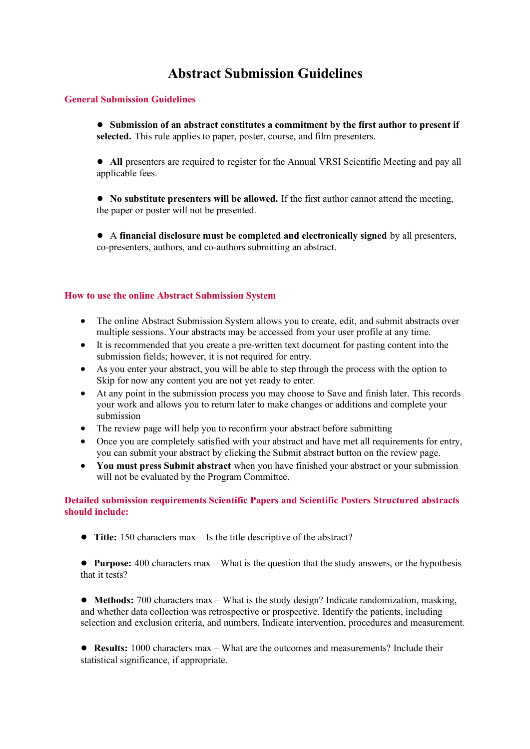# **Abstract Submission Guidelines**

## **General Submission Guidelines**

● **Submission of an abstract constitutes a commitment by the first author to present if selected.** This rule applies to paper, poster, course, and film presenters.

● **All** presenters are required to register for the Annual VRSI Scientific Meeting and pay all applicable fees.

● **No substitute presenters will be allowed.** If the first author cannot attend the meeting, the paper or poster will not be presented.

● A **financial disclosure must be completed and electronically signed** by all presenters, co-presenters, authors, and co-authors submitting an abstract.

## **How to use the online Abstract Submission System**

- The online Abstract Submission System allows you to create, edit, and submit abstracts over multiple sessions. Your abstracts may be accessed from your user profile at any time.
- It is recommended that you create a pre-written text document for pasting content into the submission fields; however, it is not required for entry.
- As you enter your abstract, you will be able to step through the process with the option to Skip for now any content you are not yet ready to enter.
- At any point in the submission process you may choose to Save and finish later. This records your work and allows you to return later to make changes or additions and complete your submission
- The review page will help you to reconfirm your abstract before submitting
- Once you are completely satisfied with your abstract and have met all requirements for entry, you can submit your abstract by clicking the Submit abstract button on the review page.
- **You must press Submit abstract** when you have finished your abstract or your submission will not be evaluated by the Program Committee.

## **Detailed submission requirements Scientific Papers and Scientific Posters Structured abstracts should include:**

● **Title:** 150 characters max – Is the title descriptive of the abstract?

● **Purpose:** 400 characters max – What is the question that the study answers, or the hypothesis that it tests?

● **Methods:** 700 characters max – What is the study design? Indicate randomization, masking, and whether data collection was retrospective or prospective. Identify the patients, including selection and exclusion criteria, and numbers. Indicate intervention, procedures and measurement.

● **Results:** 1000 characters max – What are the outcomes and measurements? Include their statistical significance, if appropriate.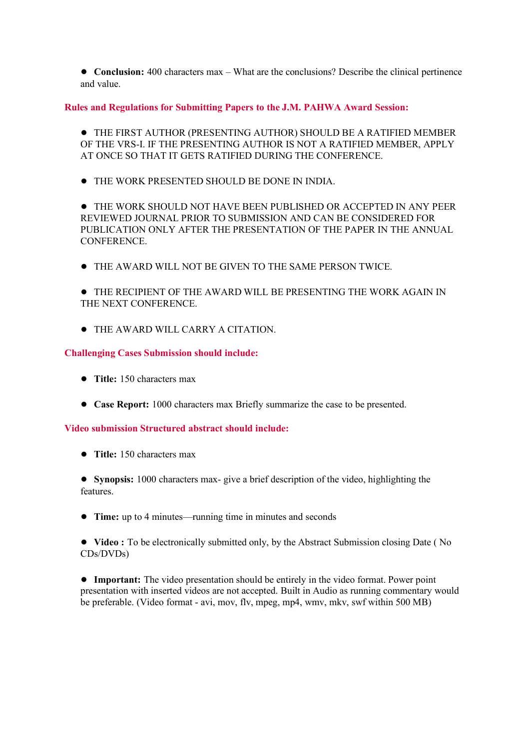● **Conclusion:** 400 characters max – What are the conclusions? Describe the clinical pertinence and value.

**Rules and Regulations for Submitting Papers to the J.M. PAHWA Award Session:** 

● THE FIRST AUTHOR (PRESENTING AUTHOR) SHOULD BE A RATIFIED MEMBER OF THE VRS-I. IF THE PRESENTING AUTHOR IS NOT A RATIFIED MEMBER, APPLY AT ONCE SO THAT IT GETS RATIFIED DURING THE CONFERENCE.

● THE WORK PRESENTED SHOULD BE DONE IN INDIA.

● THE WORK SHOULD NOT HAVE BEEN PUBLISHED OR ACCEPTED IN ANY PEER REVIEWED JOURNAL PRIOR TO SUBMISSION AND CAN BE CONSIDERED FOR PUBLICATION ONLY AFTER THE PRESENTATION OF THE PAPER IN THE ANNUAL **CONFERENCE** 

● THE AWARD WILL NOT BE GIVEN TO THE SAME PERSON TWICE.

● THE RECIPIENT OF THE AWARD WILL BE PRESENTING THE WORK AGAIN IN THE NEXT CONFERENCE.

● THE AWARD WILL CARRY A CITATION.

#### **Challenging Cases Submission should include:**

- **Title:** 150 characters max
- **Case Report:** 1000 characters max Briefly summarize the case to be presented.

## **Video submission Structured abstract should include:**

● **Title:** 150 characters max

● **Synopsis:** 1000 characters max- give a brief description of the video, highlighting the features.

● **Time:** up to 4 minutes—running time in minutes and seconds

● **Video :** To be electronically submitted only, by the Abstract Submission closing Date ( No CDs/DVDs)

● **Important:** The video presentation should be entirely in the video format. Power point presentation with inserted videos are not accepted. Built in Audio as running commentary would be preferable. (Video format - avi, mov, flv, mpeg, mp4, wmv, mkv, swf within 500 MB)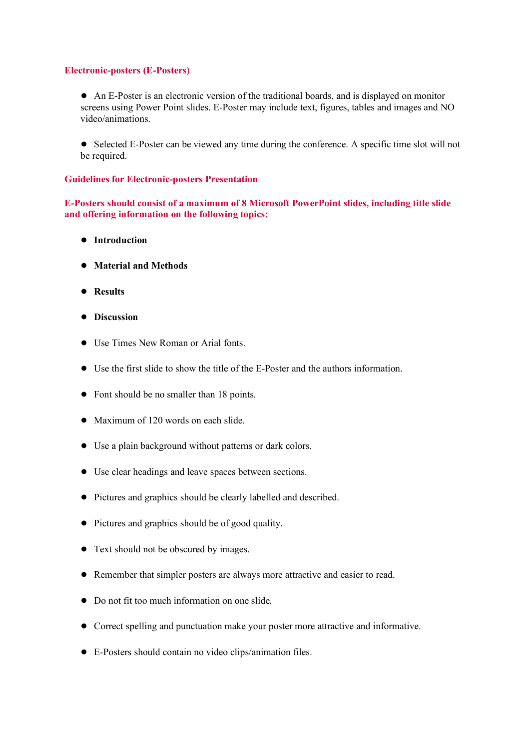# **Electronic-posters (E-Posters)**

● An E-Poster is an electronic version of the traditional boards, and is displayed on monitor screens using Power Point slides. E-Poster may include text, figures, tables and images and NO video/animations.

● Selected E-Poster can be viewed any time during the conference. A specific time slot will not be required.

# **Guidelines for Electronic-posters Presentation**

**E-Posters should consist of a maximum of 8 Microsoft PowerPoint slides, including title slide and offering information on the following topics:** 

- **Introduction**
- **Material and Methods**
- **Results**
- **Discussion**
- Use Times New Roman or Arial fonts.
- Use the first slide to show the title of the E-Poster and the authors information.
- Font should be no smaller than 18 points.
- Maximum of 120 words on each slide.
- Use a plain background without patterns or dark colors.
- Use clear headings and leave spaces between sections.
- Pictures and graphics should be clearly labelled and described.
- Pictures and graphics should be of good quality.
- Text should not be obscured by images.
- Remember that simpler posters are always more attractive and easier to read.
- Do not fit too much information on one slide.
- Correct spelling and punctuation make your poster more attractive and informative.
- E-Posters should contain no video clips/animation files.